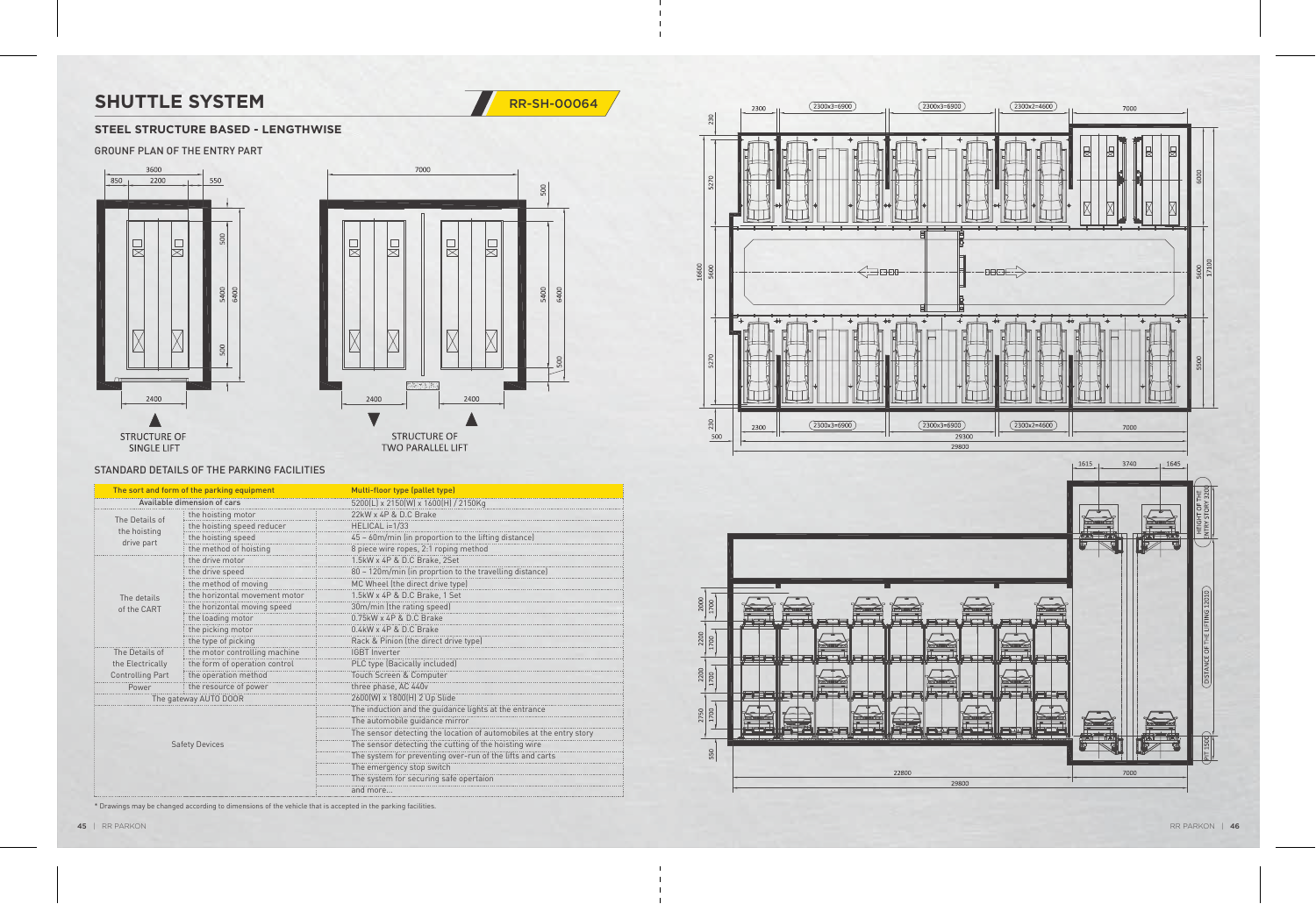### GROUNF PLAN OF THE ENTRY PART





## **SHUTTLE SYSTEM** RR-SH-00064



### **STEEL STRUCTURE BASED - LENGTHWISE**

#### STANDARD DETAILS OF THE PARKING FACILITIES

| The sort and form of the parking equipment   |                               | Multi-floor type (pallet type)                                      |
|----------------------------------------------|-------------------------------|---------------------------------------------------------------------|
| Available dimension of cars                  |                               | 5200(L) x 2150(W) x 1600(H) / 2150Kg                                |
| The Details of<br>the hoisting<br>drive part | the hoisting motor            | 22kW x 4P & D.C Brake                                               |
|                                              | the hoisting speed reducer    | HELICAL i=1/33                                                      |
|                                              | the hoisting speed            | 45 ~ 60m/min (in proportion to the lifting distance)                |
|                                              | the method of hoisting        | 8 piece wire ropes, 2:1 roping method                               |
|                                              | the drive motor               | 1.5kW x 4P & D.C Brake, 2Set                                        |
|                                              | the drive speed               | 80 ~ 120m/min (in proprtion to the travelling distance)             |
|                                              | the method of moving          | MC Wheel (the direct drive type)                                    |
| The details                                  | the horizontal movement motor | 1.5kW x 4P & D.C Brake, 1 Set                                       |
| of the CART                                  | the horizontal moving speed   | 30m/min (the rating speed)                                          |
|                                              | the loading motor             | $0.75$ kW x 4P & D.C Brake                                          |
|                                              | the picking motor             | $0.4$ kW x 4P & D.C Brake                                           |
|                                              | the type of picking           | Rack & Pinion (the direct drive type)                               |
| The Details of                               | the motor controlling machine | <b>IGBT</b> Inverter                                                |
| the Electrically                             | the form of operation control | PLC type (Bacically included)                                       |
| Controlling Part                             | the operation method          | Touch Screen & Computer                                             |
| Power                                        | the resource of power         | three phase, AC 440v                                                |
|                                              | The gateway AUTO DOOR         | 2600(W) x 1800(H) 2 Up Slide                                        |
|                                              |                               | The induction and the guidance lights at the entrance               |
|                                              |                               | The automobile guidance mirror                                      |
|                                              |                               | The sensor detecting the location of automobiles at the entry story |
| <b>Safety Devices</b>                        |                               | The sensor detecting the cutting of the hoisting wire               |
|                                              |                               | The system for preventing over-run of the lifts and carts           |
|                                              |                               | The emergency stop switch                                           |
|                                              |                               | The system for securing safe opertaion                              |
|                                              |                               | and more                                                            |



\* Drawings may be changed according to dimensions of the vehicle that is accepted in the parking facilities.